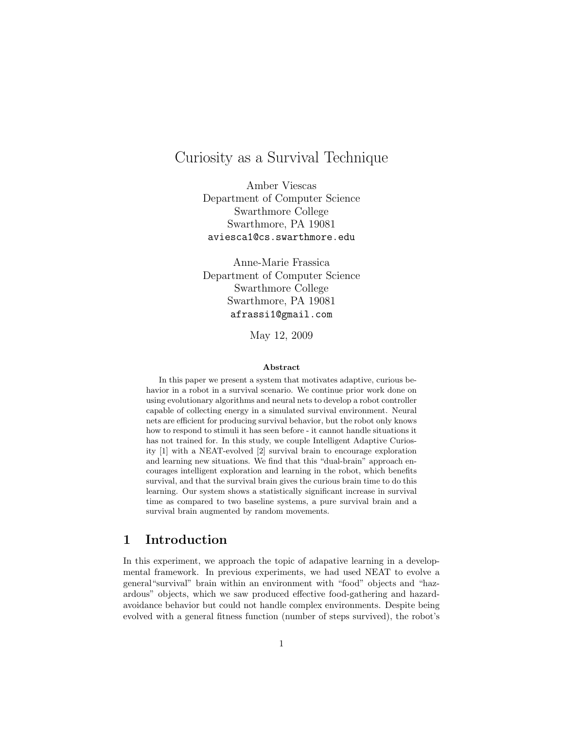# Curiosity as a Survival Technique

Amber Viescas Department of Computer Science Swarthmore College Swarthmore, PA 19081 aviesca1@cs.swarthmore.edu

Anne-Marie Frassica Department of Computer Science Swarthmore College Swarthmore, PA 19081 afrassi1@gmail.com

May 12, 2009

#### Abstract

In this paper we present a system that motivates adaptive, curious behavior in a robot in a survival scenario. We continue prior work done on using evolutionary algorithms and neural nets to develop a robot controller capable of collecting energy in a simulated survival environment. Neural nets are efficient for producing survival behavior, but the robot only knows how to respond to stimuli it has seen before - it cannot handle situations it has not trained for. In this study, we couple Intelligent Adaptive Curiosity [1] with a NEAT-evolved [2] survival brain to encourage exploration and learning new situations. We find that this "dual-brain" approach encourages intelligent exploration and learning in the robot, which benefits survival, and that the survival brain gives the curious brain time to do this learning. Our system shows a statistically significant increase in survival time as compared to two baseline systems, a pure survival brain and a survival brain augmented by random movements.

### 1 Introduction

In this experiment, we approach the topic of adapative learning in a developmental framework. In previous experiments, we had used NEAT to evolve a general"survival" brain within an environment with "food" objects and "hazardous" objects, which we saw produced effective food-gathering and hazardavoidance behavior but could not handle complex environments. Despite being evolved with a general fitness function (number of steps survived), the robot's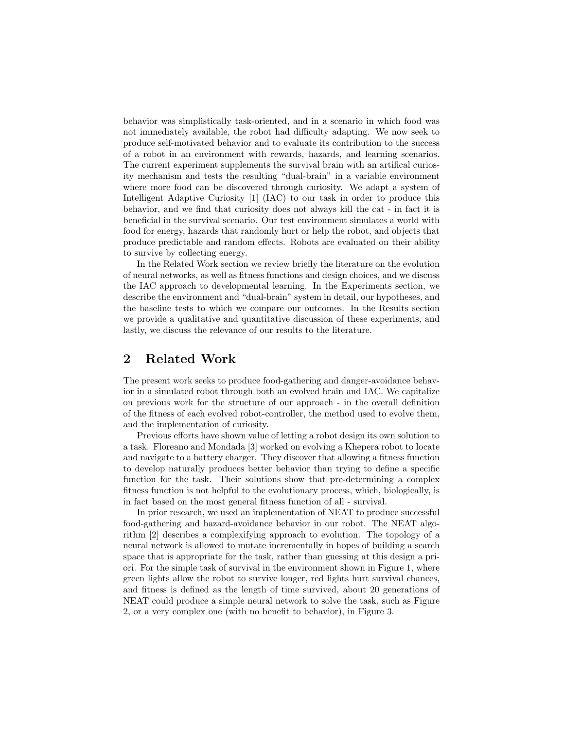behavior was simplistically task-oriented, and in a scenario in which food was not immediately available, the robot had difficulty adapting. We now seek to produce self-motivated behavior and to evaluate its contribution to the success of a robot in an environment with rewards, hazards, and learning scenarios. The current experiment supplements the survival brain with an artifical curiosity mechanism and tests the resulting "dual-brain" in a variable environment where more food can be discovered through curiosity. We adapt a system of Intelligent Adaptive Curiosity [1] (IAC) to our task in order to produce this behavior, and we find that curiosity does not always kill the cat - in fact it is beneficial in the survival scenario. Our test environment simulates a world with food for energy, hazards that randomly hurt or help the robot, and objects that produce predictable and random effects. Robots are evaluated on their ability to survive by collecting energy.

In the Related Work section we review briefly the literature on the evolution of neural networks, as well as fitness functions and design choices, and we discuss the IAC approach to developmental learning. In the Experiments section, we describe the environment and "dual-brain" system in detail, our hypotheses, and the baseline tests to which we compare our outcomes. In the Results section we provide a qualitative and quantitative discussion of these experiments, and lastly, we discuss the relevance of our results to the literature.

### 2 Related Work

The present work seeks to produce food-gathering and danger-avoidance behavior in a simulated robot through both an evolved brain and IAC. We capitalize on previous work for the structure of our approach - in the overall definition of the fitness of each evolved robot-controller, the method used to evolve them, and the implementation of curiosity.

Previous efforts have shown value of letting a robot design its own solution to a task. Floreano and Mondada [3] worked on evolving a Khepera robot to locate and navigate to a battery charger. They discover that allowing a fitness function to develop naturally produces better behavior than trying to define a specific function for the task. Their solutions show that pre-determining a complex fitness function is not helpful to the evolutionary process, which, biologically, is in fact based on the most general fitness function of all - survival.

In prior research, we used an implementation of NEAT to produce successful food-gathering and hazard-avoidance behavior in our robot. The NEAT algorithm [2] describes a complexifying approach to evolution. The topology of a neural network is allowed to mutate incrementally in hopes of building a search space that is appropriate for the task, rather than guessing at this design a priori. For the simple task of survival in the environment shown in Figure 1, where green lights allow the robot to survive longer, red lights hurt survival chances, and fitness is defined as the length of time survived, about 20 generations of NEAT could produce a simple neural network to solve the task, such as Figure 2, or a very complex one (with no benefit to behavior), in Figure 3.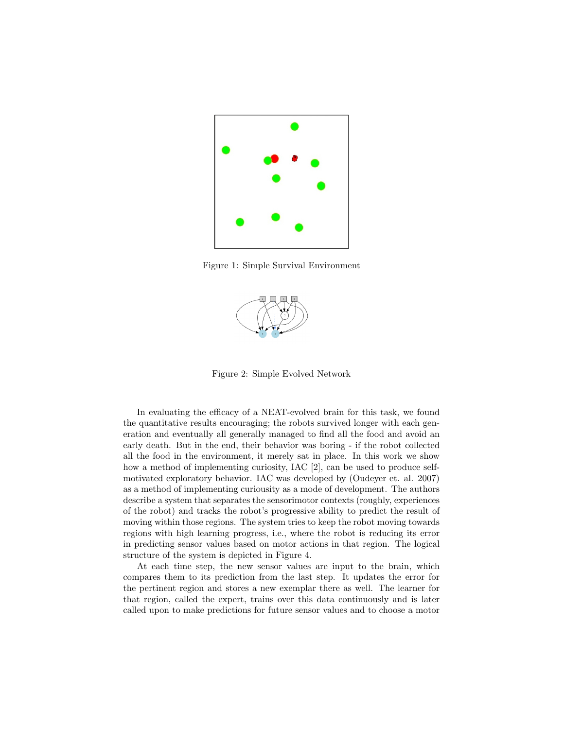

Figure 1: Simple Survival Environment



Figure 2: Simple Evolved Network

In evaluating the efficacy of a NEAT-evolved brain for this task, we found the quantitative results encouraging; the robots survived longer with each generation and eventually all generally managed to find all the food and avoid an early death. But in the end, their behavior was boring - if the robot collected all the food in the environment, it merely sat in place. In this work we show how a method of implementing curiosity, IAC [2], can be used to produce selfmotivated exploratory behavior. IAC was developed by (Oudeyer et. al. 2007) as a method of implementing curiousity as a mode of development. The authors describe a system that separates the sensorimotor contexts (roughly, experiences of the robot) and tracks the robot's progressive ability to predict the result of moving within those regions. The system tries to keep the robot moving towards regions with high learning progress, i.e., where the robot is reducing its error in predicting sensor values based on motor actions in that region. The logical structure of the system is depicted in Figure 4.

At each time step, the new sensor values are input to the brain, which compares them to its prediction from the last step. It updates the error for the pertinent region and stores a new exemplar there as well. The learner for that region, called the expert, trains over this data continuously and is later called upon to make predictions for future sensor values and to choose a motor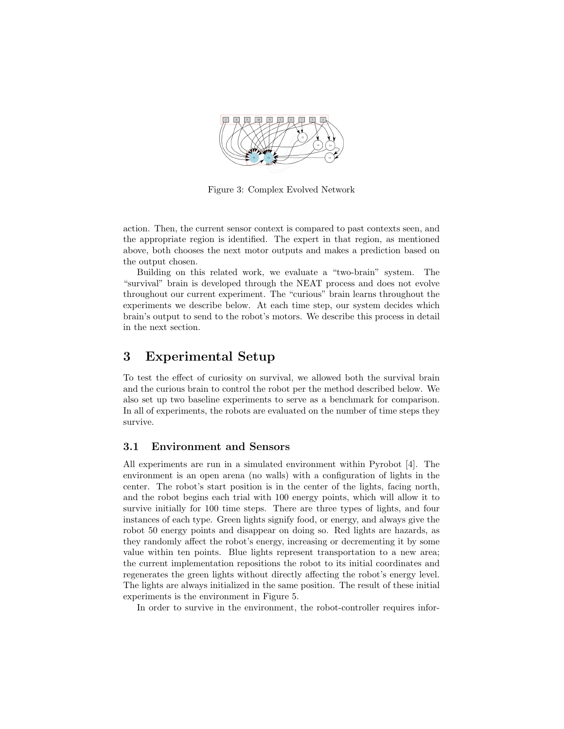

Figure 3: Complex Evolved Network

action. Then, the current sensor context is compared to past contexts seen, and the appropriate region is identified. The expert in that region, as mentioned above, both chooses the next motor outputs and makes a prediction based on the output chosen.

Building on this related work, we evaluate a "two-brain" system. The "survival" brain is developed through the NEAT process and does not evolve throughout our current experiment. The "curious" brain learns throughout the experiments we describe below. At each time step, our system decides which brain's output to send to the robot's motors. We describe this process in detail in the next section.

### 3 Experimental Setup

To test the effect of curiosity on survival, we allowed both the survival brain and the curious brain to control the robot per the method described below. We also set up two baseline experiments to serve as a benchmark for comparison. In all of experiments, the robots are evaluated on the number of time steps they survive.

### 3.1 Environment and Sensors

All experiments are run in a simulated environment within Pyrobot [4]. The environment is an open arena (no walls) with a configuration of lights in the center. The robot's start position is in the center of the lights, facing north, and the robot begins each trial with 100 energy points, which will allow it to survive initially for 100 time steps. There are three types of lights, and four instances of each type. Green lights signify food, or energy, and always give the robot 50 energy points and disappear on doing so. Red lights are hazards, as they randomly affect the robot's energy, increasing or decrementing it by some value within ten points. Blue lights represent transportation to a new area; the current implementation repositions the robot to its initial coordinates and regenerates the green lights without directly affecting the robot's energy level. The lights are always initialized in the same position. The result of these initial experiments is the environment in Figure 5.

In order to survive in the environment, the robot-controller requires infor-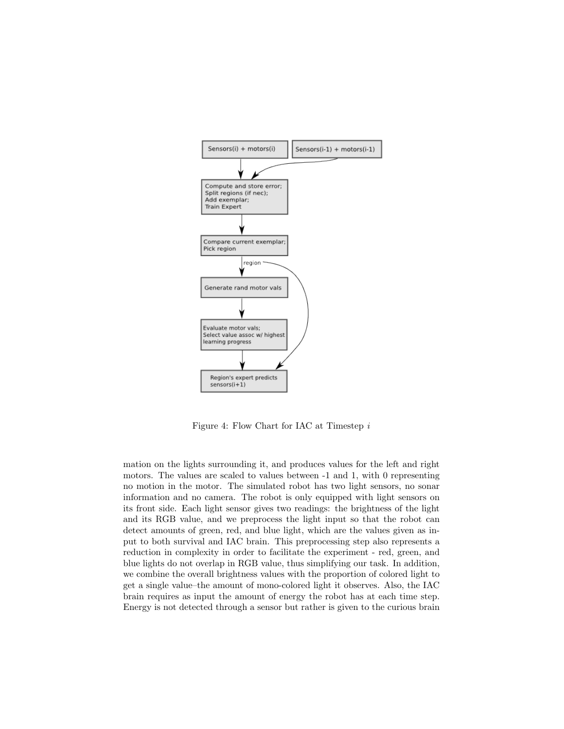

Figure 4: Flow Chart for IAC at Timestep i

mation on the lights surrounding it, and produces values for the left and right motors. The values are scaled to values between -1 and 1, with 0 representing no motion in the motor. The simulated robot has two light sensors, no sonar information and no camera. The robot is only equipped with light sensors on its front side. Each light sensor gives two readings: the brightness of the light and its RGB value, and we preprocess the light input so that the robot can detect amounts of green, red, and blue light, which are the values given as input to both survival and IAC brain. This preprocessing step also represents a reduction in complexity in order to facilitate the experiment - red, green, and blue lights do not overlap in RGB value, thus simplifying our task. In addition, we combine the overall brightness values with the proportion of colored light to get a single value–the amount of mono-colored light it observes. Also, the IAC brain requires as input the amount of energy the robot has at each time step. Energy is not detected through a sensor but rather is given to the curious brain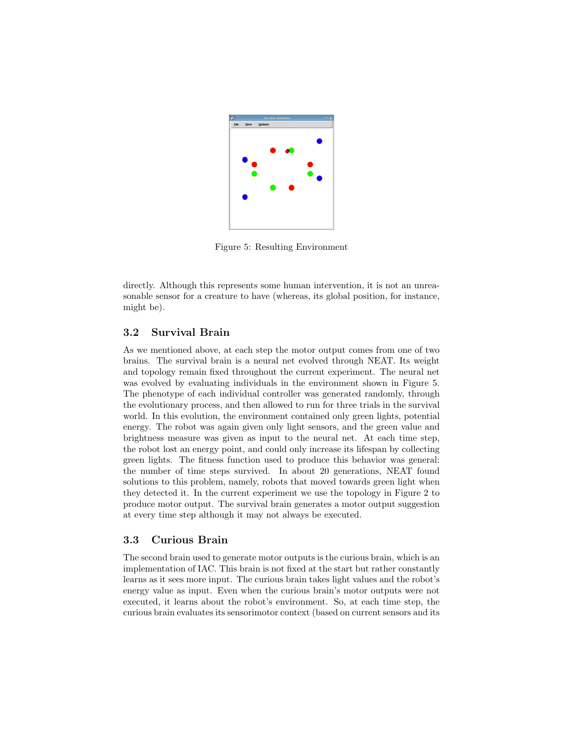

Figure 5: Resulting Environment

directly. Although this represents some human intervention, it is not an unreasonable sensor for a creature to have (whereas, its global position, for instance, might be).

### 3.2 Survival Brain

As we mentioned above, at each step the motor output comes from one of two brains. The survival brain is a neural net evolved through NEAT. Its weight and topology remain fixed throughout the current experiment. The neural net was evolved by evaluating individuals in the environment shown in Figure 5. The phenotype of each individual controller was generated randomly, through the evolutionary process, and then allowed to run for three trials in the survival world. In this evolution, the environment contained only green lights, potential energy. The robot was again given only light sensors, and the green value and brightness measure was given as input to the neural net. At each time step, the robot lost an energy point, and could only increase its lifespan by collecting green lights. The fitness function used to produce this behavior was general: the number of time steps survived. In about 20 generations, NEAT found solutions to this problem, namely, robots that moved towards green light when they detected it. In the current experiment we use the topology in Figure 2 to produce motor output. The survival brain generates a motor output suggestion at every time step although it may not always be executed.

#### 3.3 Curious Brain

The second brain used to generate motor outputs is the curious brain, which is an implementation of IAC. This brain is not fixed at the start but rather constantly learns as it sees more input. The curious brain takes light values and the robot's energy value as input. Even when the curious brain's motor outputs were not executed, it learns about the robot's environment. So, at each time step, the curious brain evaluates its sensorimotor context (based on current sensors and its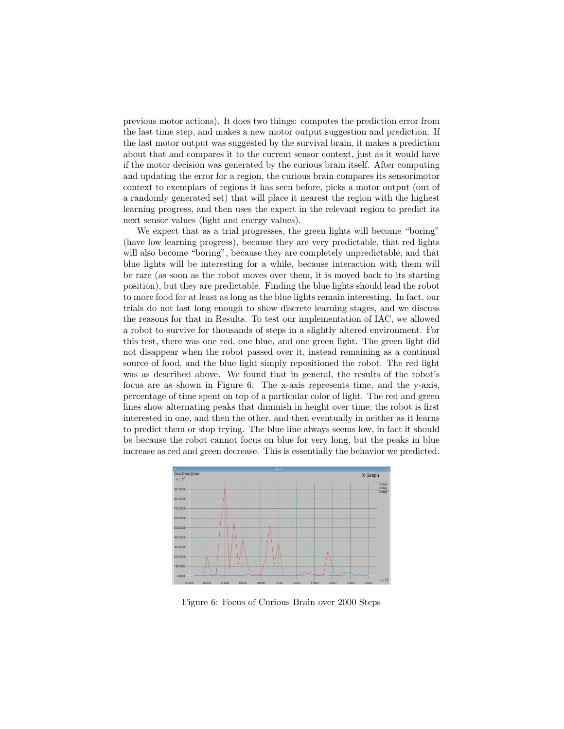previous motor actions). It does two things: computes the prediction error from the last time step, and makes a new motor output suggestion and prediction. If the last motor output was suggested by the survival brain, it makes a prediction about that and compares it to the current sensor context, just as it would have if the motor decision was generated by the curious brain itself. After computing and updating the error for a region, the curious brain compares its sensorimotor context to exemplars of regions it has seen before, picks a motor output (out of a randomly generated set) that will place it nearest the region with the highest learning progress, and then uses the expert in the relevant region to predict its next sensor values (light and energy values).

We expect that as a trial progresses, the green lights will become "boring" (have low learning progress), because they are very predictable, that red lights will also become "boring", because they are completely unpredictable, and that blue lights will be interesting for a while, because interaction with them will be rare (as soon as the robot moves over them, it is moved back to its starting position), but they are predictable. Finding the blue lights should lead the robot to more food for at least as long as the blue lights remain interesting. In fact, our trials do not last long enough to show discrete learning stages, and we discuss the reasons for that in Results. To test our implementation of IAC, we allowed a robot to survive for thousands of steps in a slightly altered environment. For this test, there was one red, one blue, and one green light. The green light did not disappear when the robot passed over it, instead remaining as a continual source of food, and the blue light simply repositioned the robot. The red light was as described above. We found that in general, the results of the robot's focus are as shown in Figure 6. The x-axis represents time, and the y-axis, percentage of time spent on top of a particular color of light. The red and green lines show alternating peaks that diminish in height over time; the robot is first interested in one, and then the other, and then eventually in neither as it learns to predict them or stop trying. The blue line always seems low, in fact it should be because the robot cannot focus on blue for very long, but the peaks in blue increase as red and green decrease. This is essentially the behavior we predicted.



Figure 6: Focus of Curious Brain over 2000 Steps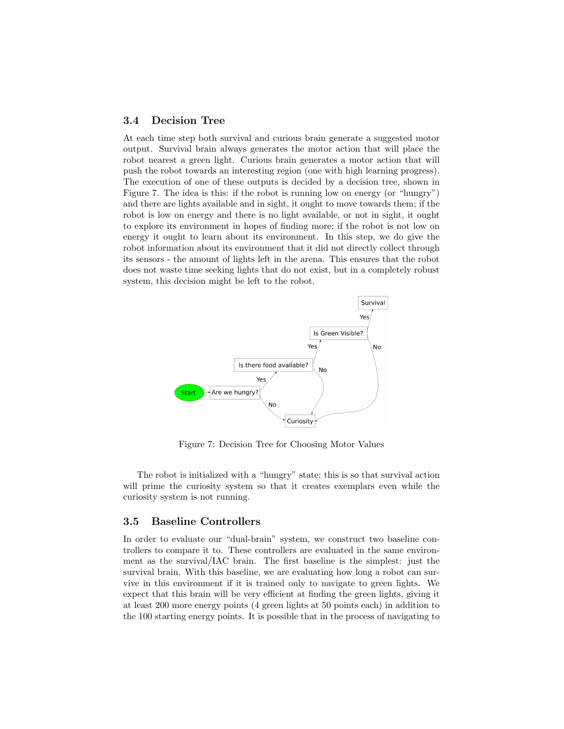#### 3.4 Decision Tree

At each time step both survival and curious brain generate a suggested motor output. Survival brain always generates the motor action that will place the robot nearest a green light. Curious brain generates a motor action that will push the robot towards an interesting region (one with high learning progress). The execution of one of these outputs is decided by a decision tree, shown in Figure 7. The idea is this: if the robot is running low on energy (or "hungry") and there are lights available and in sight, it ought to move towards them; if the robot is low on energy and there is no light available, or not in sight, it ought to explore its environment in hopes of finding more; if the robot is not low on energy it ought to learn about its environment. In this step, we do give the robot information about its environment that it did not directly collect through its sensors - the amount of lights left in the arena. This ensures that the robot does not waste time seeking lights that do not exist, but in a completely robust system, this decision might be left to the robot.



Figure 7: Decision Tree for Choosing Motor Values

The robot is initialized with a "hungry" state; this is so that survival action will prime the curiosity system so that it creates exemplars even while the curiosity system is not running.

#### 3.5 Baseline Controllers

In order to evaluate our "dual-brain" system, we construct two baseline controllers to compare it to. These controllers are evaluated in the same environment as the survival/IAC brain. The first baseline is the simplest: just the survival brain. With this baseline, we are evaluating how long a robot can survive in this environment if it is trained only to navigate to green lights. We expect that this brain will be very efficient at finding the green lights, giving it at least 200 more energy points (4 green lights at 50 points each) in addition to the 100 starting energy points. It is possible that in the process of navigating to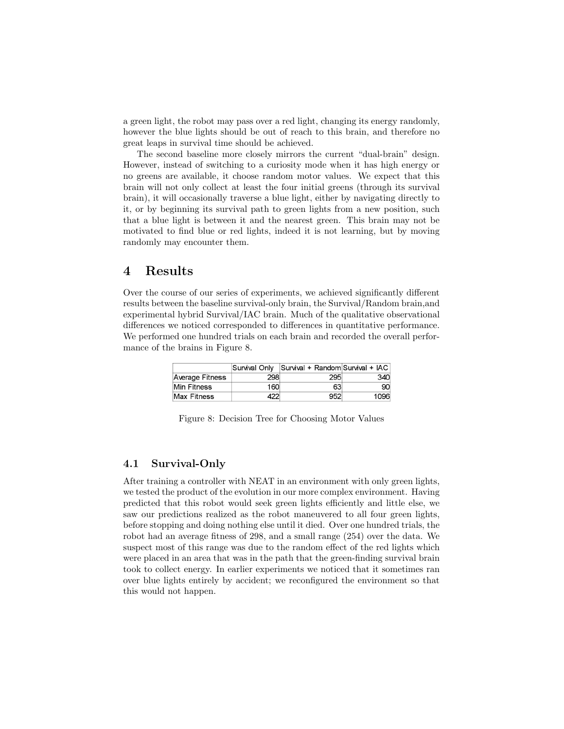a green light, the robot may pass over a red light, changing its energy randomly, however the blue lights should be out of reach to this brain, and therefore no great leaps in survival time should be achieved.

The second baseline more closely mirrors the current "dual-brain" design. However, instead of switching to a curiosity mode when it has high energy or no greens are available, it choose random motor values. We expect that this brain will not only collect at least the four initial greens (through its survival brain), it will occasionally traverse a blue light, either by navigating directly to it, or by beginning its survival path to green lights from a new position, such that a blue light is between it and the nearest green. This brain may not be motivated to find blue or red lights, indeed it is not learning, but by moving randomly may encounter them.

### 4 Results

Over the course of our series of experiments, we achieved significantly different results between the baseline survival-only brain, the Survival/Random brain,and experimental hybrid Survival/IAC brain. Much of the qualitative observational differences we noticed corresponded to differences in quantitative performance. We performed one hundred trials on each brain and recorded the overall performance of the brains in Figure 8.

|                    | Survival Only | Survival + Random Survival + IAC |      |
|--------------------|---------------|----------------------------------|------|
| Average Fitness    | 298           | 295                              | 340  |
| <b>Min Fitness</b> | 160           | 63                               | 90   |
| Max Fitness        |               | 952                              | 1096 |

Figure 8: Decision Tree for Choosing Motor Values

### 4.1 Survival-Only

After training a controller with NEAT in an environment with only green lights, we tested the product of the evolution in our more complex environment. Having predicted that this robot would seek green lights efficiently and little else, we saw our predictions realized as the robot maneuvered to all four green lights, before stopping and doing nothing else until it died. Over one hundred trials, the robot had an average fitness of 298, and a small range (254) over the data. We suspect most of this range was due to the random effect of the red lights which were placed in an area that was in the path that the green-finding survival brain took to collect energy. In earlier experiments we noticed that it sometimes ran over blue lights entirely by accident; we reconfigured the environment so that this would not happen.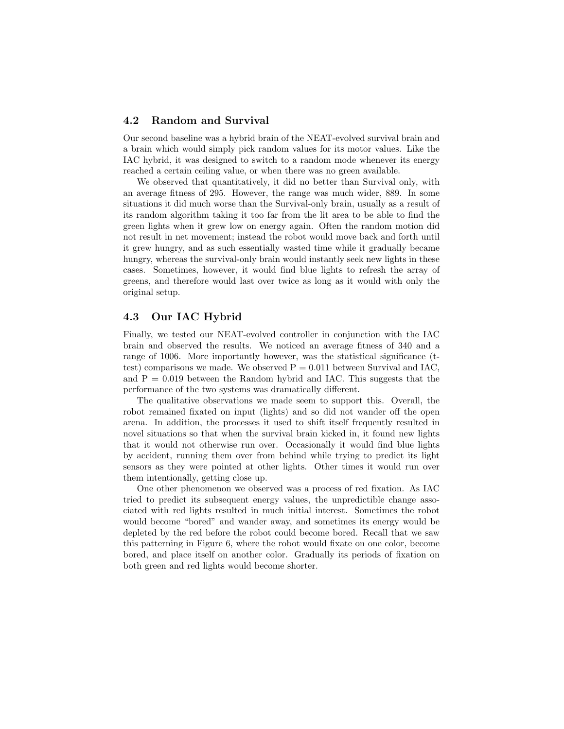#### 4.2 Random and Survival

Our second baseline was a hybrid brain of the NEAT-evolved survival brain and a brain which would simply pick random values for its motor values. Like the IAC hybrid, it was designed to switch to a random mode whenever its energy reached a certain ceiling value, or when there was no green available.

We observed that quantitatively, it did no better than Survival only, with an average fitness of 295. However, the range was much wider, 889. In some situations it did much worse than the Survival-only brain, usually as a result of its random algorithm taking it too far from the lit area to be able to find the green lights when it grew low on energy again. Often the random motion did not result in net movement; instead the robot would move back and forth until it grew hungry, and as such essentially wasted time while it gradually became hungry, whereas the survival-only brain would instantly seek new lights in these cases. Sometimes, however, it would find blue lights to refresh the array of greens, and therefore would last over twice as long as it would with only the original setup.

#### 4.3 Our IAC Hybrid

Finally, we tested our NEAT-evolved controller in conjunction with the IAC brain and observed the results. We noticed an average fitness of 340 and a range of 1006. More importantly however, was the statistical significance (ttest) comparisons we made. We observed  $P = 0.011$  between Survival and IAC, and  $P = 0.019$  between the Random hybrid and IAC. This suggests that the performance of the two systems was dramatically different.

The qualitative observations we made seem to support this. Overall, the robot remained fixated on input (lights) and so did not wander off the open arena. In addition, the processes it used to shift itself frequently resulted in novel situations so that when the survival brain kicked in, it found new lights that it would not otherwise run over. Occasionally it would find blue lights by accident, running them over from behind while trying to predict its light sensors as they were pointed at other lights. Other times it would run over them intentionally, getting close up.

One other phenomenon we observed was a process of red fixation. As IAC tried to predict its subsequent energy values, the unpredictible change associated with red lights resulted in much initial interest. Sometimes the robot would become "bored" and wander away, and sometimes its energy would be depleted by the red before the robot could become bored. Recall that we saw this patterning in Figure 6, where the robot would fixate on one color, become bored, and place itself on another color. Gradually its periods of fixation on both green and red lights would become shorter.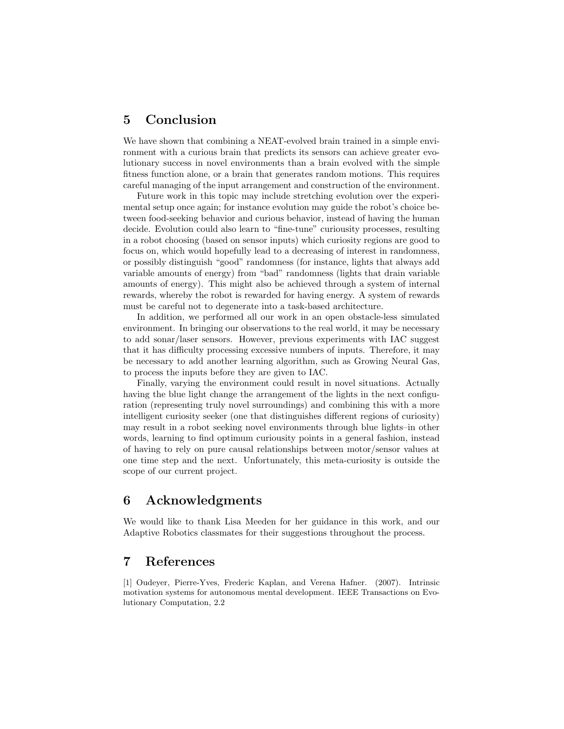### 5 Conclusion

We have shown that combining a NEAT-evolved brain trained in a simple environment with a curious brain that predicts its sensors can achieve greater evolutionary success in novel environments than a brain evolved with the simple fitness function alone, or a brain that generates random motions. This requires careful managing of the input arrangement and construction of the environment.

Future work in this topic may include stretching evolution over the experimental setup once again; for instance evolution may guide the robot's choice between food-seeking behavior and curious behavior, instead of having the human decide. Evolution could also learn to "fine-tune" curiousity processes, resulting in a robot choosing (based on sensor inputs) which curiosity regions are good to focus on, which would hopefully lead to a decreasing of interest in randomness, or possibly distinguish "good" randomness (for instance, lights that always add variable amounts of energy) from "bad" randomness (lights that drain variable amounts of energy). This might also be achieved through a system of internal rewards, whereby the robot is rewarded for having energy. A system of rewards must be careful not to degenerate into a task-based architecture.

In addition, we performed all our work in an open obstacle-less simulated environment. In bringing our observations to the real world, it may be necessary to add sonar/laser sensors. However, previous experiments with IAC suggest that it has difficulty processing excessive numbers of inputs. Therefore, it may be necessary to add another learning algorithm, such as Growing Neural Gas, to process the inputs before they are given to IAC.

Finally, varying the environment could result in novel situations. Actually having the blue light change the arrangement of the lights in the next configuration (representing truly novel surroundings) and combining this with a more intelligent curiosity seeker (one that distinguishes different regions of curiosity) may result in a robot seeking novel environments through blue lights–in other words, learning to find optimum curiousity points in a general fashion, instead of having to rely on pure causal relationships between motor/sensor values at one time step and the next. Unfortunately, this meta-curiosity is outside the scope of our current project.

## 6 Acknowledgments

We would like to thank Lisa Meeden for her guidance in this work, and our Adaptive Robotics classmates for their suggestions throughout the process.

### 7 References

[1] Oudeyer, Pierre-Yves, Frederic Kaplan, and Verena Hafner. (2007). Intrinsic motivation systems for autonomous mental development. IEEE Transactions on Evolutionary Computation, 2.2